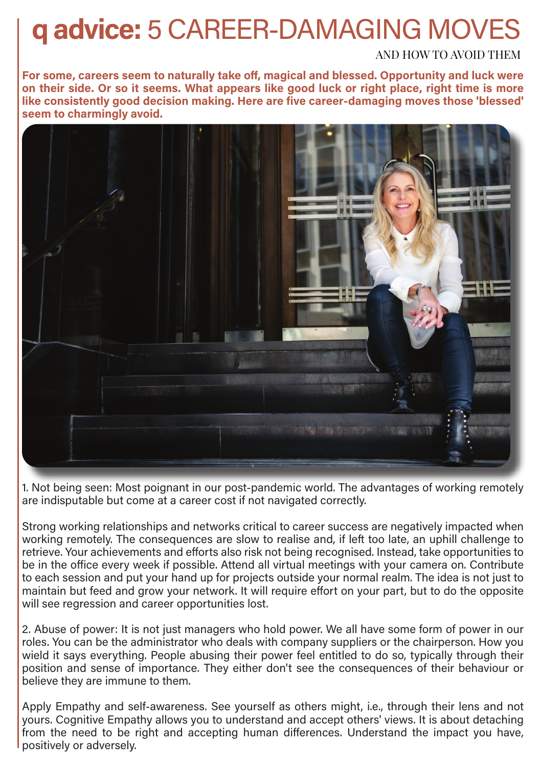## **q advice:** 5 CAREER-DAMAGING MOVES

## AND HOW TO AVOID THEM

**For some, careers seem to naturally take off, magical and blessed. Opportunity and luck were on their side. Or so it seems. What appears like good luck or right place, right time is more like consistently good decision making. Here are five career-damaging moves those 'blessed' seem to charmingly avoid.** 



1. Not being seen: Most poignant in our post-pandemic world. The advantages of working remotely are indisputable but come at a career cost if not navigated correctly.

Strong working relationships and networks critical to career success are negatively impacted when working remotely. The consequences are slow to realise and, if left too late, an uphill challenge to retrieve. Your achievements and efforts also risk not being recognised. Instead, take opportunities to be in the office every week if possible. Attend all virtual meetings with your camera on. Contribute to each session and put your hand up for projects outside your normal realm. The idea is not just to maintain but feed and grow your network. It will require effort on your part, but to do the opposite will see regression and career opportunities lost.

2. Abuse of power: It is not just managers who hold power. We all have some form of power in our roles. You can be the administrator who deals with company suppliers or the chairperson. How you wield it says everything. People abusing their power feel entitled to do so, typically through their position and sense of importance. They either don't see the consequences of their behaviour or believe they are immune to them.

Apply Empathy and self-awareness. See yourself as others might, i.e., through their lens and not yours. Cognitive Empathy allows you to understand and accept others' views. It is about detaching from the need to be right and accepting human differences. Understand the impact you have, positively or adversely.